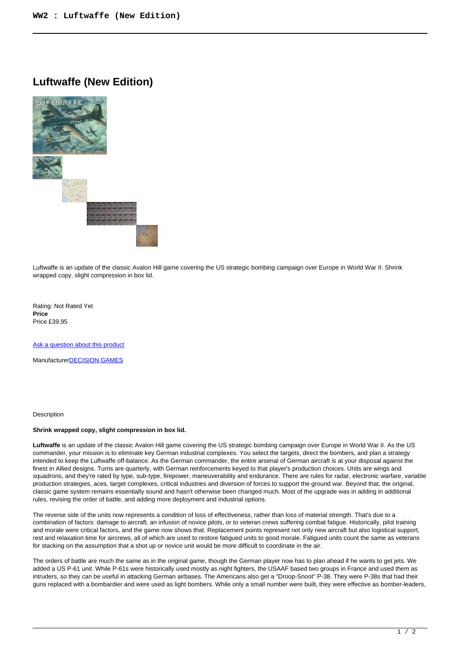## **Luftwaffe (New Edition)**



Luftwaffe is an update of the classic Avalon Hill game covering the US strategic bombing campaign over Europe in World War II. Shrink wrapped copy, slight compression in box lid.

Rating: Not Rated Yet **Price**  Price £39.95

[Ask a question about this product](https://www.secondchancegames.com/index.php?option=com_virtuemart&view=productdetails&task=askquestion&virtuemart_product_id=13675&virtuemart_category_id=5&tmpl=component)

Manufacturer[DECISION GAMES](https://www.secondchancegames.com/index.php?option=com_virtuemart&view=manufacturer&virtuemart_manufacturer_id=2513&tmpl=component)

## **Description**

## **Shrink wrapped copy, slight compression in box lid.**

**Luftwaffe** is an update of the classic Avalon Hill game covering the US strategic bombing campaign over Europe in World War II. As the US commander, your mission is to eliminate key German industrial complexes. You select the targets, direct the bombers, and plan a strategy intended to keep the Luftwaffe off-balance. As the German commander, the entire arsenal of German aircraft is at your disposal against the finest in Allied designs. Turns are quarterly, with German reinforcements keyed to that player's production choices. Units are wings and squadrons, and they're rated by type, sub-type, firepower, maneuverability and endurance. There are rules for radar, electronic warfare, variable production strategies, aces, target complexes, critical industries and diversion of forces to support the ground war. Beyond that, the original, classic game system remains essentially sound and hasn't otherwise been changed much. Most of the upgrade was in adding in additional rules, revising the order of battle, and adding more deployment and industrial options.

The reverse side of the units now represents a condition of loss of effectiveness, rather than loss of material strength. That's due to a combination of factors: damage to aircraft, an infusion of novice pilots, or to veteran crews suffering combat fatigue. Historically, pilot training and morale were critical factors, and the game now shows that. Replacement points represent not only new aircraft but also logistical support, rest and relaxation time for aircrews, all of which are used to restore fatigued units to good morale. Fatigued units count the same as veterans for stacking on the assumption that a shot up or novice unit would be more difficult to coordinate in the air.

The orders of battle are much the same as in the original game, though the German player now has to plan ahead if he wants to get jets. We added a US P-61 unit. While P-61s were historically used mostly as night fighters, the USAAF based two groups in France and used them as intruders, so they can be useful in attacking German airbases. The Americans also get a "Droop-Snoot" P-38. They were P-38s that had their guns replaced with a bombardier and were used as light bombers. While only a small number were built, they were effective as bomber-leaders,